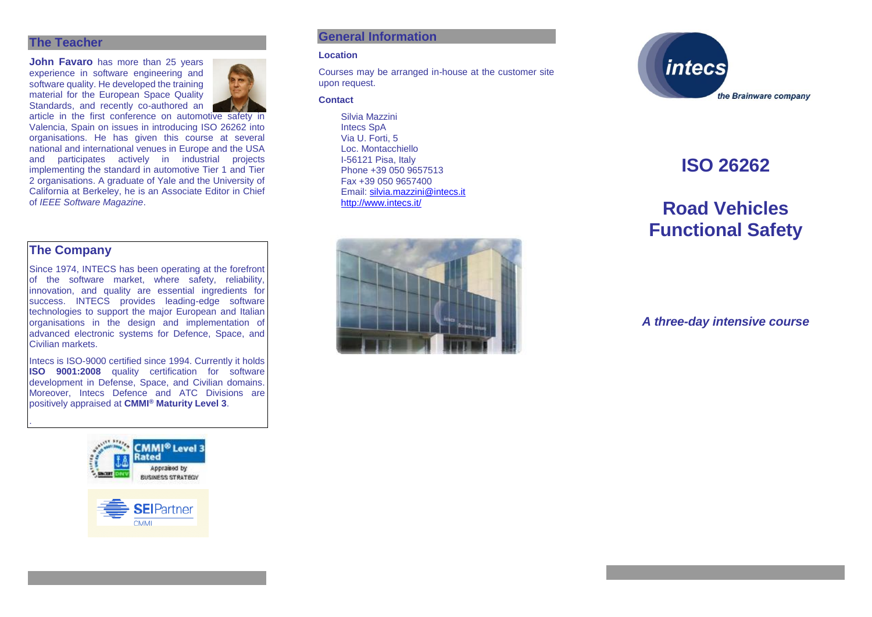#### **The Teacher**

**John Favaro** has more than 25 years experience in software engineering and software quality. He developed the training material for the European Space Quality Standards, and recently co-authored an



article in the first conference on automotive safety in Valencia, Spain on issues in introducing ISO 26262 into organisations. He has given this course at several national and international venues in Europe and the USA and participates actively in industrial projects implementing the standard in automotive Tier 1 and Tier 2 organisations. A graduate of Yale and the University of California at Berkeley, he is an Associate Editor in Chief of *IEEE Software Magazine*.

## **The Company**

.

Since 1974, INTECS has been operating at the forefront of the software market, where safety, reliability, innovation, and quality are essential ingredients for success. INTECS provides leading-edge software technologies to support the major European and Italian organisations in the design and implementation of advanced electronic systems for Defence, Space, and Civilian markets.

Intecs is ISO-9000 certified since 1994. Currently it holds **ISO 9001:2008** quality certification for software development in Defense, Space, and Civilian domains. Moreover, Intecs Defence and ATC Divisions are positively appraised at **CMMI® Maturity Level 3**.





### **General Information**

#### **Location**

Courses may be arranged in-house at the customer site upon request.

#### **Contact**

Silvia Mazzini Intecs SpA Via U. Forti, 5 Loc. Montacchiello I-56121 Pisa, Italy Phone +39 050 9657513 Fax +39 050 9657400 Email: [silvia.mazzini@intecs.it](mailto:andrea.musone@intecs.it) <http://www.intecs.it/>





# **ISO 26262**

# **Road Vehicles Functional Safety**

*A three-day intensive course*